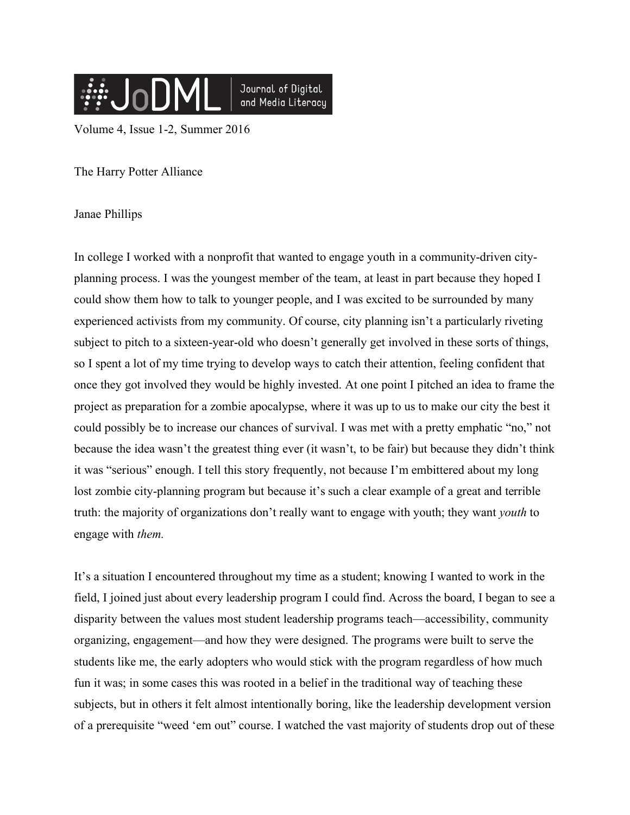

Volume 4, Issue 1-2, Summer 2016

The Harry Potter Alliance

Janae Phillips

In college I worked with a nonprofit that wanted to engage youth in a community-driven cityplanning process. I was the youngest member of the team, at least in part because they hoped I could show them how to talk to younger people, and I was excited to be surrounded by many experienced activists from my community. Of course, city planning isn't a particularly riveting subject to pitch to a sixteen-year-old who doesn't generally get involved in these sorts of things, so I spent a lot of my time trying to develop ways to catch their attention, feeling confident that once they got involved they would be highly invested. At one point I pitched an idea to frame the project as preparation for a zombie apocalypse, where it was up to us to make our city the best it could possibly be to increase our chances of survival. I was met with a pretty emphatic "no," not because the idea wasn't the greatest thing ever (it wasn't, to be fair) but because they didn't think it was "serious" enough. I tell this story frequently, not because I'm embittered about my long lost zombie city-planning program but because it's such a clear example of a great and terrible truth: the majority of organizations don't really want to engage with youth; they want *youth* to engage with *them.*

It's a situation I encountered throughout my time as a student; knowing I wanted to work in the field, I joined just about every leadership program I could find. Across the board, I began to see a disparity between the values most student leadership programs teach—accessibility, community organizing, engagement—and how they were designed. The programs were built to serve the students like me, the early adopters who would stick with the program regardless of how much fun it was; in some cases this was rooted in a belief in the traditional way of teaching these subjects, but in others it felt almost intentionally boring, like the leadership development version of a prerequisite "weed 'em out" course. I watched the vast majority of students drop out of these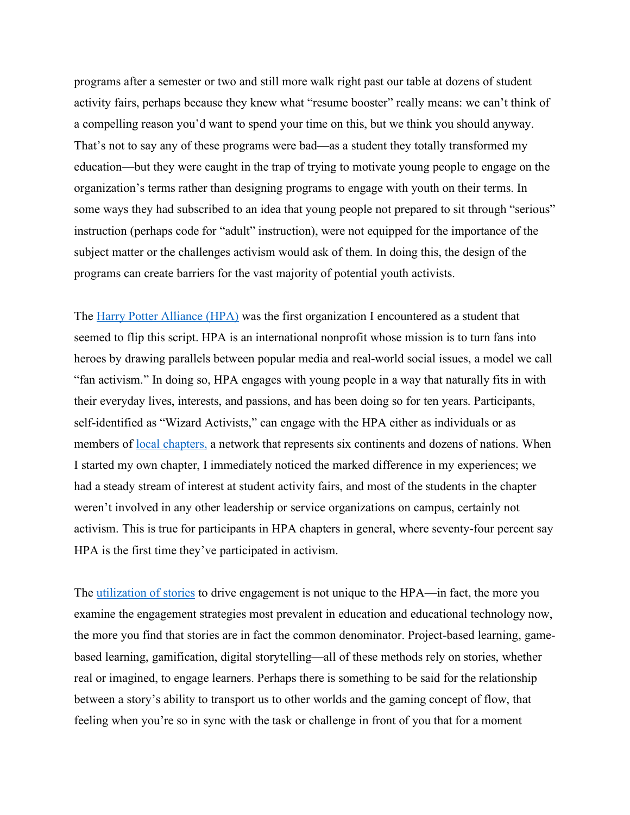programs after a semester or two and still more walk right past our table at dozens of student activity fairs, perhaps because they knew what "resume booster" really means: we can't think of a compelling reason you'd want to spend your time on this, but we think you should anyway. That's not to say any of these programs were bad—as a student they totally transformed my education—but they were caught in the trap of trying to motivate young people to engage on the organization's terms rather than designing programs to engage with youth on their terms. In some ways they had subscribed to an idea that young people not prepared to sit through "serious" instruction (perhaps code for "adult" instruction), were not equipped for the importance of the subject matter or the challenges activism would ask of them. In doing this, the design of the programs can create barriers for the vast majority of potential youth activists.

The Harry Potter Alliance (HPA) was the first organization I encountered as a student that seemed to flip this script. HPA is an international nonprofit whose mission is to turn fans into heroes by drawing parallels between popular media and real-world social issues, a model we call "fan activism." In doing so, HPA engages with young people in a way that naturally fits in with their everyday lives, interests, and passions, and has been doing so for ten years. Participants, self-identified as "Wizard Activists," can engage with the HPA either as individuals or as members of <u>local chapters</u>, a network that represents six continents and dozens of nations. When I started my own chapter, I immediately noticed the marked difference in my experiences; we had a steady stream of interest at student activity fairs, and most of the students in the chapter weren't involved in any other leadership or service organizations on campus, certainly not activism. This is true for participants in HPA chapters in general, where seventy-four percent say HPA is the first time they've participated in activism.

The utilization of stories to drive engagement is not unique to the HPA—in fact, the more you examine the engagement strategies most prevalent in education and educational technology now, the more you find that stories are in fact the common denominator. Project-based learning, gamebased learning, gamification, digital storytelling—all of these methods rely on stories, whether real or imagined, to engage learners. Perhaps there is something to be said for the relationship between a story's ability to transport us to other worlds and the gaming concept of flow, that feeling when you're so in sync with the task or challenge in front of you that for a moment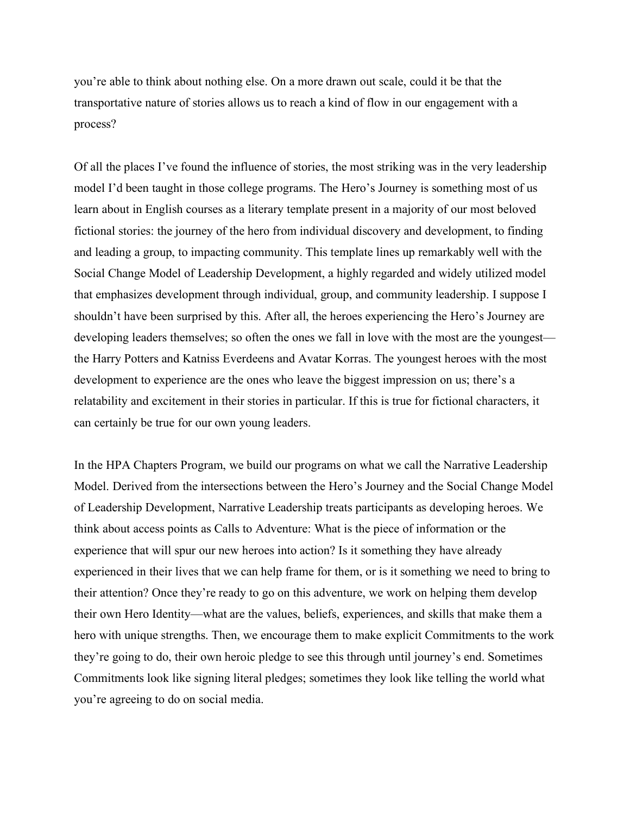you're able to think about nothing else. On a more drawn out scale, could it be that the transportative nature of stories allows us to reach a kind of flow in our engagement with a process?

Of all the places I've found the influence of stories, the most striking was in the very leadership model I'd been taught in those college programs. The Hero's Journey is something most of us learn about in English courses as a literary template present in a majority of our most beloved fictional stories: the journey of the hero from individual discovery and development, to finding and leading a group, to impacting community. This template lines up remarkably well with the Social Change Model of Leadership Development, a highly regarded and widely utilized model that emphasizes development through individual, group, and community leadership. I suppose I shouldn't have been surprised by this. After all, the heroes experiencing the Hero's Journey are developing leaders themselves; so often the ones we fall in love with the most are the youngest the Harry Potters and Katniss Everdeens and Avatar Korras. The youngest heroes with the most development to experience are the ones who leave the biggest impression on us; there's a relatability and excitement in their stories in particular. If this is true for fictional characters, it can certainly be true for our own young leaders.

In the HPA Chapters Program, we build our programs on what we call the Narrative Leadership Model. Derived from the intersections between the Hero's Journey and the Social Change Model of Leadership Development, Narrative Leadership treats participants as developing heroes. We think about access points as Calls to Adventure: What is the piece of information or the experience that will spur our new heroes into action? Is it something they have already experienced in their lives that we can help frame for them, or is it something we need to bring to their attention? Once they're ready to go on this adventure, we work on helping them develop their own Hero Identity—what are the values, beliefs, experiences, and skills that make them a hero with unique strengths. Then, we encourage them to make explicit Commitments to the work they're going to do, their own heroic pledge to see this through until journey's end. Sometimes Commitments look like signing literal pledges; sometimes they look like telling the world what you're agreeing to do on social media.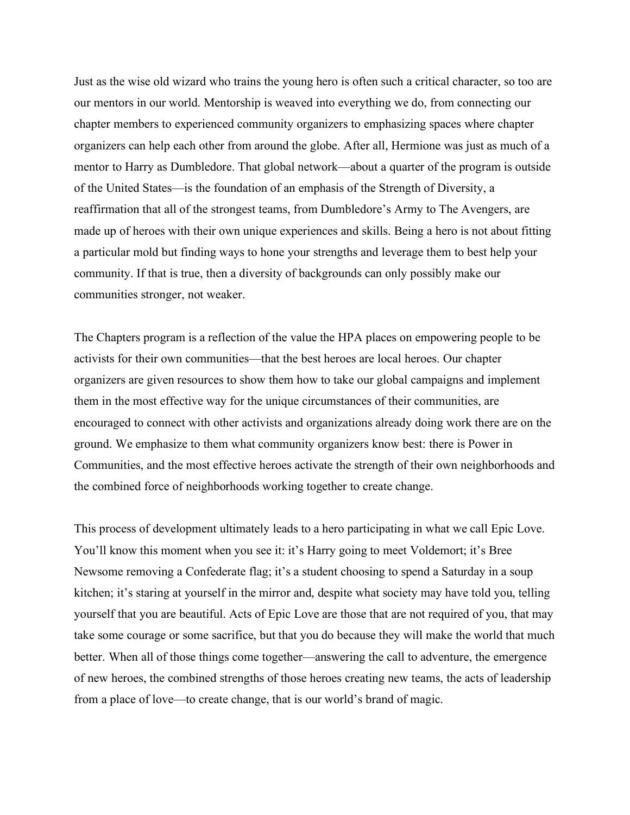Just as the wise old wizard who trains the young hero is often such a critical character, so too are our mentors in our world. Mentorship is weaved into everything we do, from connecting our chapter members to experienced community organizers to emphasizing spaces where chapter organizers can help each other from around the globe. After all, Hermione was just as much of a mentor to Harry as Dumbledore. That global network—about a quarter of the program is outside of the United States—is the foundation of an emphasis of the Strength of Diversity, a reaffirmation that all of the strongest teams, from Dumbledore's Army to The Avengers, are made up of heroes with their own unique experiences and skills. Being a hero is not about fitting a particular mold but finding ways to hone your strengths and leverage them to best help your community. If that is true, then a diversity of backgrounds can only possibly make our communities stronger, not weaker.

The Chapters program is a reflection of the value the HPA places on empowering people to be activists for their own communities—that the best heroes are local heroes. Our chapter organizers are given resources to show them how to take our global campaigns and implement them in the most effective way for the unique circumstances of their communities, are encouraged to connect with other activists and organizations already doing work there are on the ground. We emphasize to them what community organizers know best: there is Power in Communities, and the most effective heroes activate the strength of their own neighborhoods and the combined force of neighborhoods working together to create change.

This process of development ultimately leads to a hero participating in what we call Epic Love. You'll know this moment when you see it: it's Harry going to meet Voldemort; it's Bree Newsome removing a Confederate flag; it's a student choosing to spend a Saturday in a soup kitchen; it's staring at yourself in the mirror and, despite what society may have told you, telling yourself that you are beautiful. Acts of Epic Love are those that are not required of you, that may take some courage or some sacrifice, but that you do because they will make the world that much better. When all of those things come together—answering the call to adventure, the emergence of new heroes, the combined strengths of those heroes creating new teams, the acts of leadership from a place of love—to create change, that is our world's brand of magic.